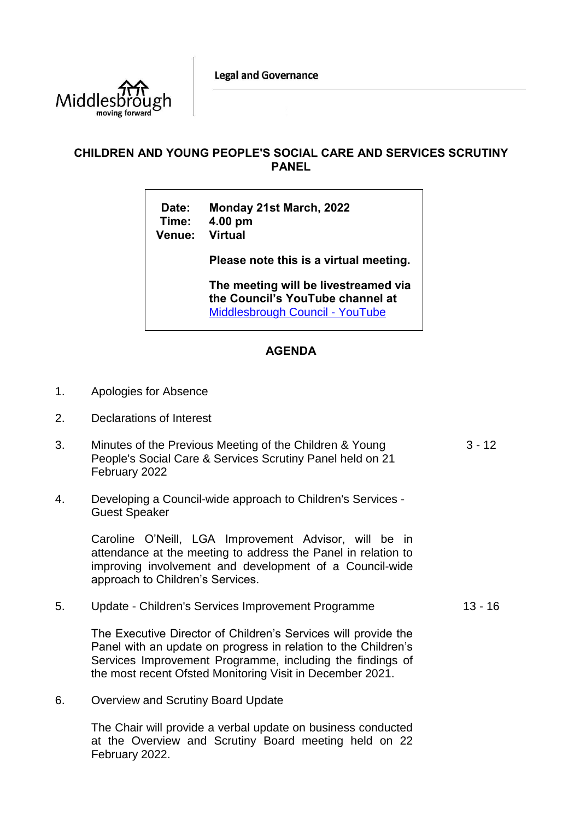**Legal and Governance** 



## **CHILDREN AND YOUNG PEOPLE'S SOCIAL CARE AND SERVICES SCRUTINY PANEL**

**Date: Monday 21st March, 2022 Time: 4.00 pm Venue: Virtual**

**Please note this is a virtual meeting.** 

**The meeting will be livestreamed via the Council's YouTube channel at**  [Middlesbrough Council -](https://www.youtube.com/user/middlesbroughcouncil) YouTube

## **AGENDA**

- 1. Apologies for Absence
- 2. Declarations of Interest
- 3. Minutes of the Previous Meeting of the Children & Young People's Social Care & Services Scrutiny Panel held on 21 February 2022  $3 - 12$
- 4. Developing a Council-wide approach to Children's Services Guest Speaker

Caroline O'Neill, LGA Improvement Advisor, will be in attendance at the meeting to address the Panel in relation to improving involvement and development of a Council-wide approach to Children's Services.

5. Update - Children's Services Improvement Programme 13 - 16

The Executive Director of Children's Services will provide the Panel with an update on progress in relation to the Children's Services Improvement Programme, including the findings of the most recent Ofsted Monitoring Visit in December 2021.

6. Overview and Scrutiny Board Update

The Chair will provide a verbal update on business conducted at the Overview and Scrutiny Board meeting held on 22 February 2022.